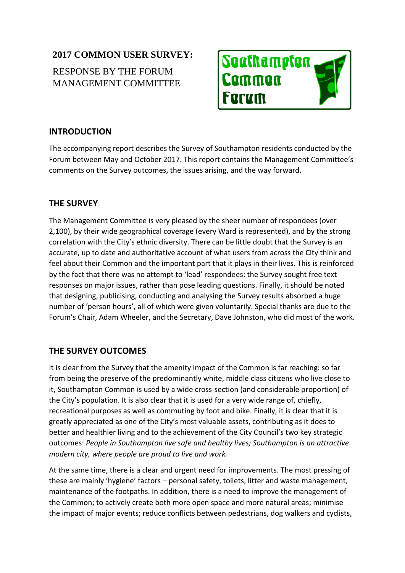## **2017 COMMON USER SURVEY:**

# RESPONSE BY THE FORUM MANAGEMENT COMMITTEE



#### **INTRODUCTION**

The accompanying report describes the Survey of Southampton residents conducted by the Forum between May and October 2017. This report contains the Management Committee's comments on the Survey outcomes, the issues arising, and the way forward.

#### **THE SURVEY**

The Management Committee is very pleased by the sheer number of respondees (over 2,100), by their wide geographical coverage (every Ward is represented), and by the strong correlation with the City's ethnic diversity. There can be little doubt that the Survey is an accurate, up to date and authoritative account of what users from across the City think and feel about their Common and the important part that it plays in their lives. This is reinforced by the fact that there was no attempt to 'lead' respondees: the Survey sought free text responses on major issues, rather than pose leading questions. Finally, it should be noted that designing, publicising, conducting and analysing the Survey results absorbed a huge number of 'person hours', all of which were given voluntarily. Special thanks are due to the Forum's Chair, Adam Wheeler, and the Secretary, Dave Johnston, who did most of the work.

### **THE SURVEY OUTCOMES**

It is clear from the Survey that the amenity impact of the Common is far reaching: so far from being the preserve of the predominantly white, middle class citizens who live close to it, Southampton Common is used by a wide cross-section (and considerable proportion) of the City's population. It is also clear that it is used for a very wide range of, chiefly, recreational purposes as well as commuting by foot and bike. Finally, it is clear that it is greatly appreciated as one of the City's most valuable assets, contributing as it does to better and healthier living and to the achievement of the City Council's two key strategic outcomes: *People in Southampton live safe and healthy lives; Southampton is an attractive modern city, where people are proud to live and work.* 

At the same time, there is a clear and urgent need for improvements. The most pressing of these are mainly 'hygiene' factors – personal safety, toilets, litter and waste management, maintenance of the footpaths. In addition, there is a need to improve the management of the Common; to actively create both more open space and more natural areas; minimise the impact of major events; reduce conflicts between pedestrians, dog walkers and cyclists,